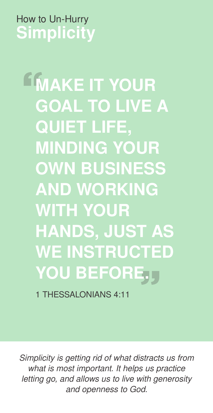## How to Un-Hurry **Simplicity**

**LIMAKE IT YOUR** GOAL TO LIVE A QUIET LIFE, MINDING YOUR OWN BUSINESS AND WORKING WITH YOUR HANDS, JUST AS WE INSTRUCTED YOU BEFORE.

1 THESSALONIANS 4:11

*Simplicity is getting rid of what distracts us from what is most important. It helps us practice letting go, and allows us to live with generosity and openness to God.*